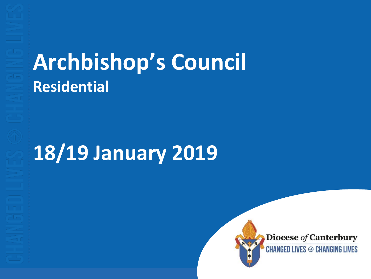## **Archbishop's Council Residential**

## **18/19 January 2019**



**Diocese of Canterbury** 

**CHANGED LIVES <sup>→</sup> CHANGING LIVES**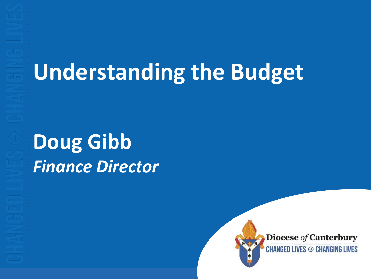# **Understanding the Budget**

## **Doug Gibb** *Finance Director*



Diocese of Canterbury

**CHANGED LIVES <sup>→</sup> CHANGING LIVES**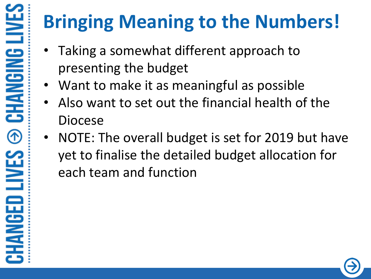## **Bringing Meaning to the Numbers!**

- Taking a somewhat different approach to presenting the budget
- Want to make it as meaningful as possible
- Also want to set out the financial health of the Diocese
- NOTE: The overall budget is set for 2019 but have yet to finalise the detailed budget allocation for each team and function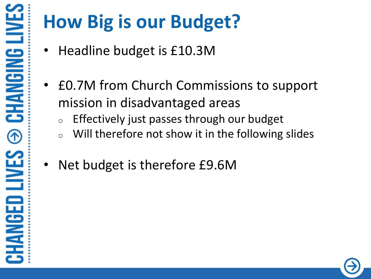## **How Big is our Budget?**

- Headline budget is £10.3M
- £0.7M from Church Commissions to support mission in disadvantaged areas
	- $\circ$  Effectively just passes through our budget
	- $\circ$  Will therefore not show it in the following slides
- Net budget is therefore £9.6M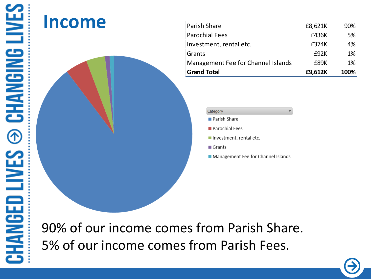#### **Income**



| Management Fee for Channel Islands<br><b>Grand Total</b> | £89K<br>£9,612K | $1\%$<br>100% |
|----------------------------------------------------------|-----------------|---------------|
| Grants                                                   | £92K            | 1%            |
| Investment, rental etc.                                  | £374K           | 4%            |
| <b>Parochial Fees</b>                                    | £436K           | 5%            |
| Parish Share                                             | £8,621K         | 90%           |

- 
- 
- 
- 
- 
- 

90% of our income comes from Parish Share.

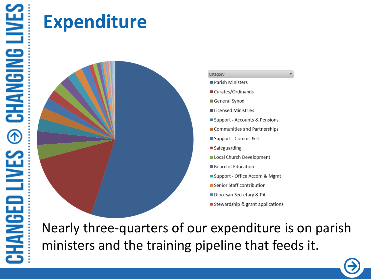### **Expenditure**



 $\overline{\phantom{a}}$ 

Nearly three-quarters of our expenditure is on parish ministers and the training pipeline that feeds it.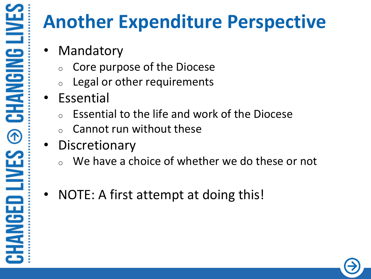#### **Another Expenditure Perspective**

- **Mandatory** 
	- Core purpose of the Diocese
	- Legal or other requirements
- Essential
	- Essential to the life and work of the Diocese
	- Cannot run without these
- **Discretionary** 
	- We have a choice of whether we do these or not
- NOTE: A first attempt at doing this!

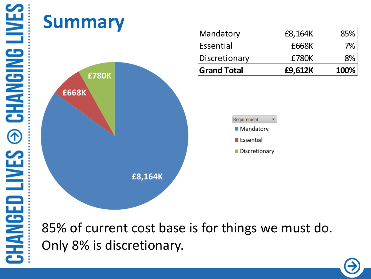

85% of current cost base is for things we must do.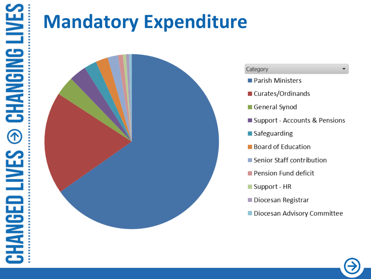## **Mandatory Expenditure**



#### Category

- Parish Ministers
- Curates/Ordinands
- General Synod
- Support Accounts & Pensions

 $\overline{\phantom{a}}$ 

- $\blacksquare$  Safeguarding
- **Board of Education**
- Senior Staff contribution
- Pension Fund deficit
- Support HR
- Diocesan Registrar
- Diocesan Advisory Committee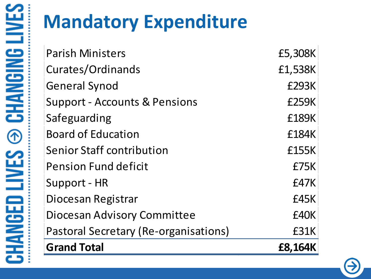## **Mandatory Expenditure**

| <b>Parish Ministers</b>                  | £5,308K      |
|------------------------------------------|--------------|
| Curates/Ordinands                        | £1,538K      |
| <b>General Synod</b>                     | <b>£293K</b> |
| <b>Support - Accounts &amp; Pensions</b> | <b>£259K</b> |
| Safeguarding                             | £189K        |
| <b>Board of Education</b>                | £184K        |
| <b>Senior Staff contribution</b>         | £155K        |
| <b>Pension Fund deficit</b>              | £75K         |
| Support - HR                             | £47K         |
| Diocesan Registrar                       | £45K         |
| Diocesan Advisory Committee              | £40K         |
| Pastoral Secretary (Re-organisations)    | £31K         |
| <b>Grand Total</b>                       | £8,164K      |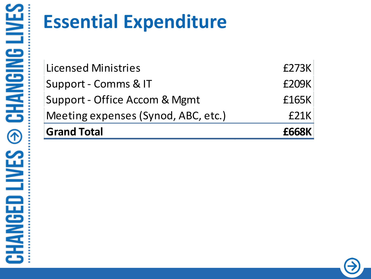## **Essential Expenditure**

| <b>Grand Total</b>                  | <b>£668K</b> |
|-------------------------------------|--------------|
| Meeting expenses (Synod, ABC, etc.) | E21K         |
| Support - Office Accom & Mgmt       | £165K        |
| Support - Comms & IT                | £209K        |
| <b>Licensed Ministries</b>          | £273K        |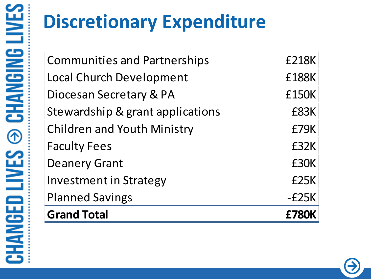## **Discretionary Expenditure**

Communities and Partnerships £218K Local Church Development F188K Diocesan Secretary & PA **ELE** E150K Stewardship & grant applications TERESAL Children and Youth Ministry £79K Faculty Fees **EXALLE 19 FEES** Deanery Grant **E30K** Investment in Strategy £25K Planned Savings and The Control of the Planned Savings and The Control of the Control of the Control of the Co **Grand Total £780K**